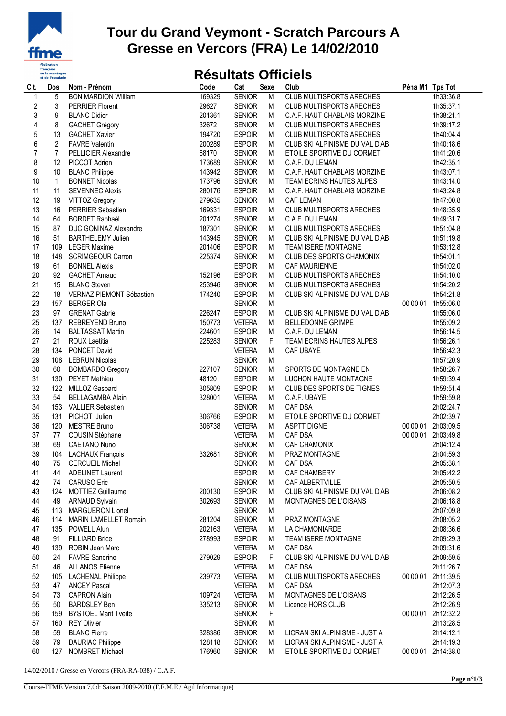

## **Tour du Grand Veymont - Scratch Parcours A Gresse en Vercors (FRA) Le 14/02/2010**

## **Résultats Officiels**

| CIt.                    | Dos            | Nom - Prénom                 | Code   | Cat           | Sexe           | Club                            | Péna M1 Tps Tot |                    |
|-------------------------|----------------|------------------------------|--------|---------------|----------------|---------------------------------|-----------------|--------------------|
| 1                       | 5              | <b>BON MARDION William</b>   | 169329 | <b>SENIOR</b> | $\overline{M}$ | <b>CLUB MULTISPORTS ARECHES</b> |                 | 1h33:36.8          |
| $\overline{\mathbf{c}}$ | 3              | <b>PERRIER Florent</b>       | 29627  | <b>SENIOR</b> | M              | <b>CLUB MULTISPORTS ARECHES</b> |                 | 1h35:37.1          |
| 3                       | 9              | <b>BLANC Didier</b>          | 201361 | <b>SENIOR</b> | М              | C.A.F. HAUT CHABLAIS MORZINE    |                 | 1h38:21.1          |
| $\overline{4}$          | 8              | <b>GACHET Grégory</b>        | 32672  | <b>SENIOR</b> | М              | <b>CLUB MULTISPORTS ARECHES</b> |                 | 1h39:17.2          |
| $\overline{5}$          | 13             | <b>GACHET Xavier</b>         | 194720 | <b>ESPOIR</b> | M              | <b>CLUB MULTISPORTS ARECHES</b> |                 | 1h40:04.4          |
| $\,$ 6 $\,$             | $\overline{2}$ | <b>FAVRE Valentin</b>        | 200289 | <b>ESPOIR</b> | M              | CLUB SKI ALPINISME DU VAL D'AB  |                 | 1h40:18.6          |
| $\overline{7}$          | $\overline{7}$ | PELLICIER Alexandre          | 68170  | <b>SENIOR</b> | M              | ETOILE SPORTIVE DU CORMET       |                 | 1h41:20.6          |
| 8                       | 12             | PICCOT Adrien                | 173689 | <b>SENIOR</b> | M              | C.A.F. DU LEMAN                 |                 | 1h42:35.1          |
| 9                       | 10             | <b>BLANC Philippe</b>        | 143942 | <b>SENIOR</b> | M              | C.A.F. HAUT CHABLAIS MORZINE    |                 | 1h43:07.1          |
| 10                      | $\mathbf{1}$   | <b>BONNET Nicolas</b>        | 173796 | <b>SENIOR</b> | м              | TEAM ECRINS HAUTES ALPES        |                 | 1h43:14.0          |
| 11                      | 11             | <b>SEVENNEC Alexis</b>       | 280176 | <b>ESPOIR</b> | М              | C.A.F. HAUT CHABLAIS MORZINE    |                 | 1h43:24.8          |
| 12                      | 19             | VITTOZ Gregory               | 279635 | <b>SENIOR</b> | M              | <b>CAF LEMAN</b>                |                 | 1h47:00.8          |
| 13                      | 16             | PERRIER Sebastien            | 169331 | <b>ESPOIR</b> | M              | <b>CLUB MULTISPORTS ARECHES</b> |                 | 1h48:35.9          |
| 14                      | 64             | <b>BORDET Raphaël</b>        | 201274 | <b>SENIOR</b> | M              | C.A.F. DU LEMAN                 |                 | 1h49:31.7          |
| 15                      | 87             | DUC GONINAZ Alexandre        | 187301 | <b>SENIOR</b> | M              | CLUB MULTISPORTS ARECHES        |                 | 1h51:04.8          |
| 16                      | 51             | <b>BARTHELEMY Julien</b>     | 143945 | <b>SENIOR</b> |                | CLUB SKI ALPINISME DU VAL D'AB  |                 |                    |
|                         |                |                              |        |               | М              |                                 |                 | 1h51:19.8          |
| 17                      | 109            | <b>LEGER Maxime</b>          | 201406 | <b>ESPOIR</b> | М              | TEAM ISERE MONTAGNE             |                 | 1h53:12.8          |
| 18                      | 148            | <b>SCRIMGEOUR Carron</b>     | 225374 | <b>SENIOR</b> | M              | <b>CLUB DES SPORTS CHAMONIX</b> |                 | 1h54:01.1          |
| 19                      | 61             | <b>BONNEL Alexis</b>         |        | <b>ESPOIR</b> | M              | CAF MAURIENNE                   |                 | 1h54:02.0          |
| 20                      | 92             | <b>GACHET Arnaud</b>         | 152196 | <b>ESPOIR</b> | M              | <b>CLUB MULTISPORTS ARECHES</b> |                 | 1h54:10.0          |
| 21                      | 15             | <b>BLANC Steven</b>          | 253946 | <b>SENIOR</b> | M              | <b>CLUB MULTISPORTS ARECHES</b> |                 | 1h54:20.2          |
| 22                      | 18             | VERNAZ PIEMONT Sébastien     | 174240 | <b>ESPOIR</b> | M              | CLUB SKI ALPINISME DU VAL D'AB  |                 | 1h54:21.8          |
| 23                      | 157            | <b>BERGER Ola</b>            |        | <b>SENIOR</b> | М              |                                 |                 | 00 00 01 1h55:06.0 |
| 23                      | 97             | <b>GRENAT Gabriel</b>        | 226247 | <b>ESPOIR</b> | M              | CLUB SKI ALPINISME DU VAL D'AB  |                 | 1h55:06.0          |
| 25                      | 137            | <b>REBREYEND Bruno</b>       | 150773 | <b>VETERA</b> | M              | <b>BELLEDONNE GRIMPE</b>        |                 | 1h55:09.2          |
| 26                      | 14             | <b>BALTASSAT Martin</b>      | 224601 | <b>ESPOIR</b> | M              | C.A.F. DU LEMAN                 |                 | 1h56:14.5          |
| 27                      | 21             | ROUX Laetitia                | 225283 | <b>SENIOR</b> | F              | TEAM ECRINS HAUTES ALPES        |                 | 1h56:26.1          |
| 28                      | 134            | PONCET David                 |        | <b>VETERA</b> | M              | CAF UBAYE                       |                 | 1h56:42.3          |
| 29                      | 108            | <b>LEBRUN Nicolas</b>        |        | <b>SENIOR</b> | М              |                                 |                 | 1h57:20.9          |
| 30                      | 60             | <b>BOMBARDO Gregory</b>      | 227107 | <b>SENIOR</b> | М              | SPORTS DE MONTAGNE EN           |                 | 1h58:26.7          |
| 31                      | 130            | <b>PEYET Mathieu</b>         | 48120  | <b>ESPOIR</b> | M              | LUCHON HAUTE MONTAGNE           |                 | 1h59:39.4          |
| 32                      | 122            | MILLOZ Gaspard               | 305809 | <b>ESPOIR</b> | M              | CLUB DES SPORTS DE TIGNES       |                 | 1h59:51.4          |
| 33                      | 54             | <b>BELLAGAMBA Alain</b>      | 328001 | <b>VETERA</b> | M              | C.A.F. UBAYE                    |                 | 1h59:59.8          |
| 34                      | 153            | <b>VALLIER Sebastien</b>     |        | <b>SENIOR</b> | M              | CAF DSA                         |                 | 2h02:24.7          |
| 35                      | 131            | PICHOT Julien                | 306766 | <b>ESPOIR</b> | М              | ETOILE SPORTIVE DU CORMET       |                 | 2h02:39.7          |
| 36                      | 120            | <b>MESTRE Bruno</b>          | 306738 | <b>VETERA</b> | M              | <b>ASPTT DIGNE</b>              | 00 00 01        | 2h03:09.5          |
| 37                      | 77             | COUSIN Stéphane              |        | <b>VETERA</b> | M              | CAF DSA                         |                 | 00 00 01 2h03:49.8 |
| 38                      | 69             | CAETANO Nuno                 |        | <b>SENIOR</b> | M              | <b>CAF CHAMONIX</b>             |                 | 2h04:12.4          |
| 39                      |                | 104 LACHAUX François         | 332681 | <b>SENIOR</b> | M              | PRAZ MONTAGNE                   |                 | 2h04:59.3          |
| 40                      |                | 75 CERCUEIL Michel           |        | <b>SENIOR</b> | M              | CAF DSA                         |                 | 2h05:38.1          |
| 41                      | 44             | <b>ADELINET Laurent</b>      |        | <b>ESPOIR</b> | M              | CAF CHAMBERY                    |                 | 2h05:42.2          |
| 42                      | 74             | <b>CARUSO Eric</b>           |        | <b>SENIOR</b> | M              | CAF ALBERTVILLE                 |                 | 2h05:50.5          |
| 43                      | 124            | MOTTIEZ Guillaume            | 200130 | <b>ESPOIR</b> | M              | CLUB SKI ALPINISME DU VAL D'AB  |                 | 2h06:08.2          |
| 44                      | 49             | <b>ARNAUD Sylvain</b>        | 302693 | <b>SENIOR</b> | M              | MONTAGNES DE L'OISANS           |                 | 2h06:18.8          |
| 45                      | 113            | <b>MARGUERON Lionel</b>      |        | <b>SENIOR</b> | M              |                                 |                 | 2h07:09.8          |
|                         |                | <b>MARIN LAMELLET Romain</b> |        |               |                |                                 |                 |                    |
| 46                      | 114            |                              | 281204 | <b>SENIOR</b> | M              | PRAZ MONTAGNE<br>LA CHAMONIARDE |                 | 2h08:05.2          |
| 47                      | 135            | POWELL Alun                  | 202163 | <b>VETERA</b> | M              |                                 |                 | 2h08:36.6          |
| 48                      | 91             | <b>FILLIARD Brice</b>        | 278993 | <b>ESPOIR</b> | M              | <b>TEAM ISERE MONTAGNE</b>      |                 | 2h09:29.3          |
| 49                      | 139            | <b>ROBIN Jean Marc</b>       |        | <b>VETERA</b> | M              | CAF DSA                         |                 | 2h09:31.6          |
| 50                      | 24             | <b>FAVRE Sandrine</b>        | 279029 | <b>ESPOIR</b> | F              | CLUB SKI ALPINISME DU VAL D'AB  |                 | 2h09:59.5          |
| 51                      | 46             | <b>ALLANOS Etienne</b>       |        | <b>VETERA</b> | M              | CAF DSA                         |                 | 2h11:26.7          |
| 52                      | 105            | <b>LACHENAL Philippe</b>     | 239773 | <b>VETERA</b> | M              | <b>CLUB MULTISPORTS ARECHES</b> |                 | 00 00 01 2h11:39.5 |
| 53                      | 47             | <b>ANCEY Pascal</b>          |        | <b>VETERA</b> | M              | CAF DSA                         |                 | 2h12:07.3          |
| 54                      | 73             | <b>CAPRON Alain</b>          | 109724 | <b>VETERA</b> | M              | MONTAGNES DE L'OISANS           |                 | 2h12:26.5          |
| 55                      | 50             | <b>BARDSLEY Ben</b>          | 335213 | <b>SENIOR</b> | M              | Licence HORS CLUB               |                 | 2h12:26.9          |
| 56                      | 159            | <b>BYSTOEL Marit Tveite</b>  |        | <b>SENIOR</b> | F              |                                 |                 | 00 00 01 2h12:32.2 |
| 57                      | 160            | <b>REY Olivier</b>           |        | <b>SENIOR</b> | M              |                                 |                 | 2h13:28.5          |
| 58                      | 59             | <b>BLANC Pierre</b>          | 328386 | <b>SENIOR</b> | M              | LIORAN SKI ALPINISME - JUST A   |                 | 2h14:12.1          |
| 59                      | 79             | <b>DAURIAC Philippe</b>      | 128118 | <b>SENIOR</b> | M              | LIORAN SKI ALPINISME - JUST A   |                 | 2h14:19.3          |
| 60                      | 127            | NOMBRET Michael              | 176960 | <b>SENIOR</b> | M              | ETOILE SPORTIVE DU CORMET       |                 | 00 00 01 2h14:38.0 |
|                         |                |                              |        |               |                |                                 |                 |                    |

14/02/2010 / Gresse en Vercors (FRA-RA-038) / C.A.F.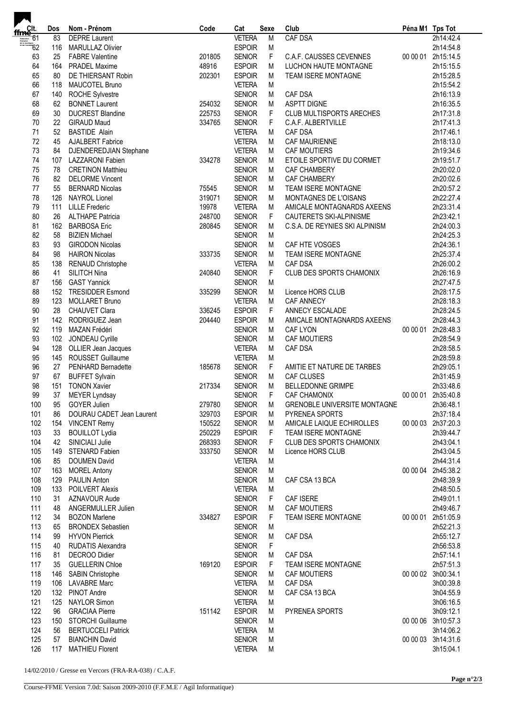| $\begin{array}{r} \n\overline{\mathbf{f}} \mathbf{m} \mathbf{C} \mathbf{R} \mathbf{R} \\ \n\overline{\mathbf{H}} \mathbf{m} \mathbf{C} \mathbf{R} \\ \n\overline{\mathbf{H}} \mathbf{m} \mathbf{C} \mathbf{R} \n\end{array}$ | Dos             | Nom - Prénom                                     | Code   | Cat                            | Sexe   | Club                                      | Péna M1 Tps Tot |                        |
|------------------------------------------------------------------------------------------------------------------------------------------------------------------------------------------------------------------------------|-----------------|--------------------------------------------------|--------|--------------------------------|--------|-------------------------------------------|-----------------|------------------------|
|                                                                                                                                                                                                                              | 83              | <b>DEPRE</b> Laurent                             |        | <b>VETERA</b>                  | M      | <b>CAF DSA</b>                            |                 | 2h14:42.4              |
|                                                                                                                                                                                                                              | 116             | <b>MARULLAZ Olivier</b>                          |        | <b>ESPOIR</b>                  | M      |                                           |                 | 2h14:54.8              |
| 63                                                                                                                                                                                                                           | 25              | <b>FABRE Valentine</b>                           | 201805 | <b>SENIOR</b>                  | F      | C.A.F. CAUSSES CEVENNES                   | 00 00 01        | 2h15:14.5              |
| 64                                                                                                                                                                                                                           | 164             | <b>PRADEL Maxime</b>                             | 48916  | <b>ESPOIR</b>                  | M      | LUCHON HAUTE MONTAGNE                     |                 | 2h15:15.5              |
| 65                                                                                                                                                                                                                           | 80              | DE THIERSANT Robin                               | 202301 | <b>ESPOIR</b>                  | M      | <b>TEAM ISERE MONTAGNE</b>                |                 | 2h15:28.5              |
| 66                                                                                                                                                                                                                           | 118             | MAUCOTEL Bruno                                   |        | <b>VETERA</b>                  | M      |                                           |                 | 2h15:54.2              |
| 67                                                                                                                                                                                                                           | 140             | <b>ROCHE Sylvestre</b>                           |        | <b>SENIOR</b>                  | M      | CAF DSA                                   |                 | 2h16:13.9              |
| 68                                                                                                                                                                                                                           | 62              | <b>BONNET Laurent</b>                            | 254032 | <b>SENIOR</b>                  | M      | <b>ASPTT DIGNE</b>                        |                 | 2h16:35.5              |
| 69                                                                                                                                                                                                                           | 30 <sub>2</sub> | <b>DUCREST Blandine</b>                          | 225753 | <b>SENIOR</b>                  | F      | <b>CLUB MULTISPORTS ARECHES</b>           |                 | 2h17:31.8              |
| 70                                                                                                                                                                                                                           | 22              | <b>GIRAUD Maud</b>                               | 334765 | <b>SENIOR</b>                  | F      | C.A.F. ALBERTVILLE                        |                 | 2h17:41.3              |
| 71                                                                                                                                                                                                                           | 52              | <b>BASTIDE Alain</b>                             |        | <b>VETERA</b>                  | M      | <b>CAF DSA</b>                            |                 | 2h17:46.1              |
| 72                                                                                                                                                                                                                           | 45              | AJALBERT Fabrice                                 |        | <b>VETERA</b>                  | M      | CAF MAURIENNE                             |                 | 2h18:13.0              |
| 73<br>74                                                                                                                                                                                                                     | 84              | DJENDEREDJIAN Stephane                           |        | <b>VETERA</b>                  | М      | <b>CAF MOUTIERS</b>                       |                 | 2h19:34.6              |
| 75                                                                                                                                                                                                                           | 78              | 107 LAZZARONI Fabien<br><b>CRETINON Matthieu</b> | 334278 | <b>SENIOR</b><br><b>SENIOR</b> | M<br>M | ETOILE SPORTIVE DU CORMET<br>CAF CHAMBERY |                 | 2h19:51.7<br>2h20:02.0 |
| 76                                                                                                                                                                                                                           | 82              | <b>DELORME Vincent</b>                           |        | <b>SENIOR</b>                  | М      | CAF CHAMBERY                              |                 | 2h20:02.6              |
| 77                                                                                                                                                                                                                           | 55              | <b>BERNARD Nicolas</b>                           | 75545  | <b>SENIOR</b>                  | M      | TEAM ISERE MONTAGNE                       |                 | 2h20:57.2              |
| 78                                                                                                                                                                                                                           | 126             | <b>NAYROL Lionel</b>                             | 319071 | <b>SENIOR</b>                  | M      | MONTAGNES DE L'OISANS                     |                 | 2h22:27.4              |
| 79                                                                                                                                                                                                                           | 111             | <b>LILLE Frederic</b>                            | 19978  | <b>VETERA</b>                  | М      | AMICALE MONTAGNARDS AXEENS                |                 | 2h23:31.4              |
| 80                                                                                                                                                                                                                           | 26              | <b>ALTHAPE Patricia</b>                          | 248700 | <b>SENIOR</b>                  | F      | CAUTERETS SKI-ALPINISME                   |                 | 2h23:42.1              |
| 81                                                                                                                                                                                                                           |                 | 162 BARBOSA Eric                                 | 280845 | <b>SENIOR</b>                  | М      | C.S.A. DE REYNIES SKI ALPINISM            |                 | 2h24:00.3              |
| 82                                                                                                                                                                                                                           | 58              | <b>BIZIEN Michael</b>                            |        | <b>SENIOR</b>                  | M      |                                           |                 | 2h24:25.3              |
| 83                                                                                                                                                                                                                           | 93              | <b>GIRODON Nicolas</b>                           |        | <b>SENIOR</b>                  | M      | CAF HTE VOSGES                            |                 | 2h24:36.1              |
| 84                                                                                                                                                                                                                           | 98              | <b>HAIRON Nicolas</b>                            | 333735 | <b>SENIOR</b>                  | M      | TEAM ISERE MONTAGNE                       |                 | 2h25:37.4              |
| 85                                                                                                                                                                                                                           | 138             | <b>RENAUD Christophe</b>                         |        | <b>VETERA</b>                  | M      | <b>CAF DSA</b>                            |                 | 2h26:00.2              |
| 86                                                                                                                                                                                                                           | 41              | SILITCH Nina                                     | 240840 | <b>SENIOR</b>                  | F      | CLUB DES SPORTS CHAMONIX                  |                 | 2h26:16.9              |
| 87                                                                                                                                                                                                                           | 156             | <b>GAST Yannick</b>                              |        | <b>SENIOR</b>                  | М      |                                           |                 | 2h27:47.5              |
| 88                                                                                                                                                                                                                           |                 | 152 TRESIDDER Esmond                             | 335299 | <b>SENIOR</b>                  | M      | Licence HORS CLUB                         |                 | 2h28:17.5              |
| 89                                                                                                                                                                                                                           | 123             | <b>MOLLARET Bruno</b>                            |        | <b>VETERA</b>                  | M      | CAF ANNECY                                |                 | 2h28:18.3              |
| 90                                                                                                                                                                                                                           | 28              | CHAUVET Clara                                    | 336245 | <b>ESPOIR</b>                  | F      | ANNECY ESCALADE                           |                 | 2h28:24.5              |
| 91                                                                                                                                                                                                                           |                 | 142 RODRIGUEZ Jean                               | 204440 | <b>ESPOIR</b>                  | М      | AMICALE MONTAGNARDS AXEENS                |                 | 2h28:44.3              |
| 92                                                                                                                                                                                                                           | 119             | MAZAN Frédéri                                    |        | <b>SENIOR</b>                  | M      | <b>CAF LYON</b>                           | 00 00 01        | 2h28:48.3              |
| 93                                                                                                                                                                                                                           |                 | 102 JONDEAU Cyrille                              |        | <b>SENIOR</b>                  | M      | <b>CAF MOUTIERS</b>                       |                 | 2h28:54.9              |
| 94                                                                                                                                                                                                                           |                 | 128 OLLIER Jean Jacques                          |        | <b>VETERA</b>                  | M      | CAF DSA                                   |                 | 2h28:58.5              |
| 95                                                                                                                                                                                                                           |                 | 145 ROUSSET Guillaume                            |        | <b>VETERA</b>                  | M      |                                           |                 | 2h28:59.8              |
| 96                                                                                                                                                                                                                           | 27              | PENHARD Bernadette                               | 185678 | <b>SENIOR</b>                  | F      | AMITIE ET NATURE DE TARBES                |                 | 2h29:05.1              |
| 97                                                                                                                                                                                                                           | 67              | <b>BUFFET Sylvain</b>                            |        | <b>SENIOR</b>                  | М      | <b>CAF CLUSES</b>                         |                 | 2h31:45.9              |
| 98                                                                                                                                                                                                                           | 151             | <b>TONON Xavier</b>                              | 217334 | <b>SENIOR</b>                  | M      | <b>BELLEDONNE GRIMPE</b>                  |                 | 2h33:48.6              |
| 99                                                                                                                                                                                                                           | 37              | <b>MEYER Lyndsay</b>                             |        | <b>SENIOR</b>                  | F      | CAF CHAMONIX                              |                 | 00 00 01 2h35:40.8     |
| 100                                                                                                                                                                                                                          |                 | 95 GOYER Julien                                  | 279780 | <b>SENIOR</b>                  | M      | GRENOBLE UNIVERSITE MONTAGNE              |                 | 2h36:48.1              |
| 101                                                                                                                                                                                                                          | 86              | DOURAU CADET Jean Laurent                        | 329703 | <b>ESPOIR</b>                  | M      | PYRENEA SPORTS                            |                 | 2h37:18.4              |
| 102                                                                                                                                                                                                                          |                 | 154 VINCENT Remy                                 | 150522 | <b>SENIOR</b>                  | M      | AMICALE LAIQUE ECHIROLLES                 |                 | 00 00 03 2h37:20.3     |
| 103                                                                                                                                                                                                                          | 33              | <b>BOUILLOT Lydia</b>                            | 250229 | <b>ESPOIR</b>                  | F      | <b>TEAM ISERE MONTAGNE</b>                |                 | 2h39:44.7              |
| 104                                                                                                                                                                                                                          | 42              | SINICIALI Julie                                  | 268393 | <b>SENIOR</b>                  | F      | <b>CLUB DES SPORTS CHAMONIX</b>           |                 | 2h43:04.1              |
| 105                                                                                                                                                                                                                          | 149             | STENARD Fabien                                   | 333750 | <b>SENIOR</b>                  | M      | Licence HORS CLUB                         |                 | 2h43:04.5              |
| 106                                                                                                                                                                                                                          | 85              | <b>DOUMEN David</b>                              |        | <b>VETERA</b>                  | M      |                                           |                 | 2h44:31.4              |
| 107                                                                                                                                                                                                                          | 163             | <b>MOREL Antony</b>                              |        | <b>SENIOR</b>                  | M      |                                           |                 | 00 00 04 2h45:38.2     |
| 108                                                                                                                                                                                                                          | 129             | PAULIN Anton                                     |        | <b>SENIOR</b>                  | M      | CAF CSA 13 BCA                            |                 | 2h48:39.9              |
| 109                                                                                                                                                                                                                          | 133             | <b>POILVERT Alexis</b>                           |        | <b>VETERA</b>                  | M      |                                           |                 | 2h48:50.5              |
| 110<br>111                                                                                                                                                                                                                   | 31              | AZNAVOUR Aude                                    |        | <b>SENIOR</b>                  | F      | CAF ISERE                                 |                 | 2h49:01.1              |
| 112                                                                                                                                                                                                                          | 48<br>34        | ANGERMULLER Julien                               |        | <b>SENIOR</b>                  | M      | <b>CAF MOUTIERS</b>                       |                 | 2h49:46.7              |
| 113                                                                                                                                                                                                                          | 65              | <b>BOZON Marlene</b><br><b>BRONDEX Sebastien</b> | 334827 | <b>ESPOIR</b>                  | F<br>M | TEAM ISERE MONTAGNE                       | 00 00 01        | 2h51:05.9<br>2h52:21.3 |
| 114                                                                                                                                                                                                                          | 99              | <b>HYVON Pierrick</b>                            |        | <b>SENIOR</b><br><b>SENIOR</b> | M      | CAF DSA                                   |                 | 2h55:12.7              |
| 115                                                                                                                                                                                                                          | 40              | <b>RUDATIS Alexandra</b>                         |        | <b>SENIOR</b>                  | F      |                                           |                 | 2h56:53.8              |
| 116                                                                                                                                                                                                                          | 81              | DECROO Didier                                    |        | <b>SENIOR</b>                  | M      | CAF DSA                                   |                 | 2h57:14.1              |
| 117                                                                                                                                                                                                                          | 35              | <b>GUELLERIN Chloe</b>                           | 169120 | <b>ESPOIR</b>                  | F      | <b>TEAM ISERE MONTAGNE</b>                |                 | 2h57:51.3              |
| 118                                                                                                                                                                                                                          | 146             | SABIN Christophe                                 |        | <b>SENIOR</b>                  | M      | CAF MOUTIERS                              |                 | 00 00 02 3h00:34.1     |
| 119                                                                                                                                                                                                                          |                 | 106 LAVABRE Marc                                 |        | <b>VETERA</b>                  | M      | CAF DSA                                   |                 | 3h00:39.8              |
| 120                                                                                                                                                                                                                          |                 | 132 PINOT Andre                                  |        | <b>SENIOR</b>                  | M      | CAF CSA 13 BCA                            |                 | 3h04:55.9              |
| 121                                                                                                                                                                                                                          | 125             | <b>NAYLOR Simon</b>                              |        | <b>VETERA</b>                  | M      |                                           |                 | 3h06:16.5              |
| 122                                                                                                                                                                                                                          | 96              | <b>GRACIAA Pierre</b>                            | 151142 | <b>ESPOIR</b>                  | M      | PYRENEA SPORTS                            |                 | 3h09:12.1              |
| 123                                                                                                                                                                                                                          | 150             | <b>STORCHI Guillaume</b>                         |        | <b>SENIOR</b>                  | M      |                                           | 00 00 06        | 3h10:57.3              |
| 124                                                                                                                                                                                                                          | 56              | <b>BERTUCCELI Patrick</b>                        |        | <b>VETERA</b>                  | M      |                                           |                 | 3h14:06.2              |
| 125                                                                                                                                                                                                                          | 57              | <b>BIANCHIN David</b>                            |        | <b>SENIOR</b>                  | M      |                                           |                 | 00 00 03 3h14:31.6     |
| 126                                                                                                                                                                                                                          |                 | 117 MATHIEU Florent                              |        | <b>VETERA</b>                  | M      |                                           |                 | 3h15:04.1              |
|                                                                                                                                                                                                                              |                 |                                                  |        |                                |        |                                           |                 |                        |

14/02/2010 / Gresse en Vercors (FRA-RA-038) / C.A.F.

J